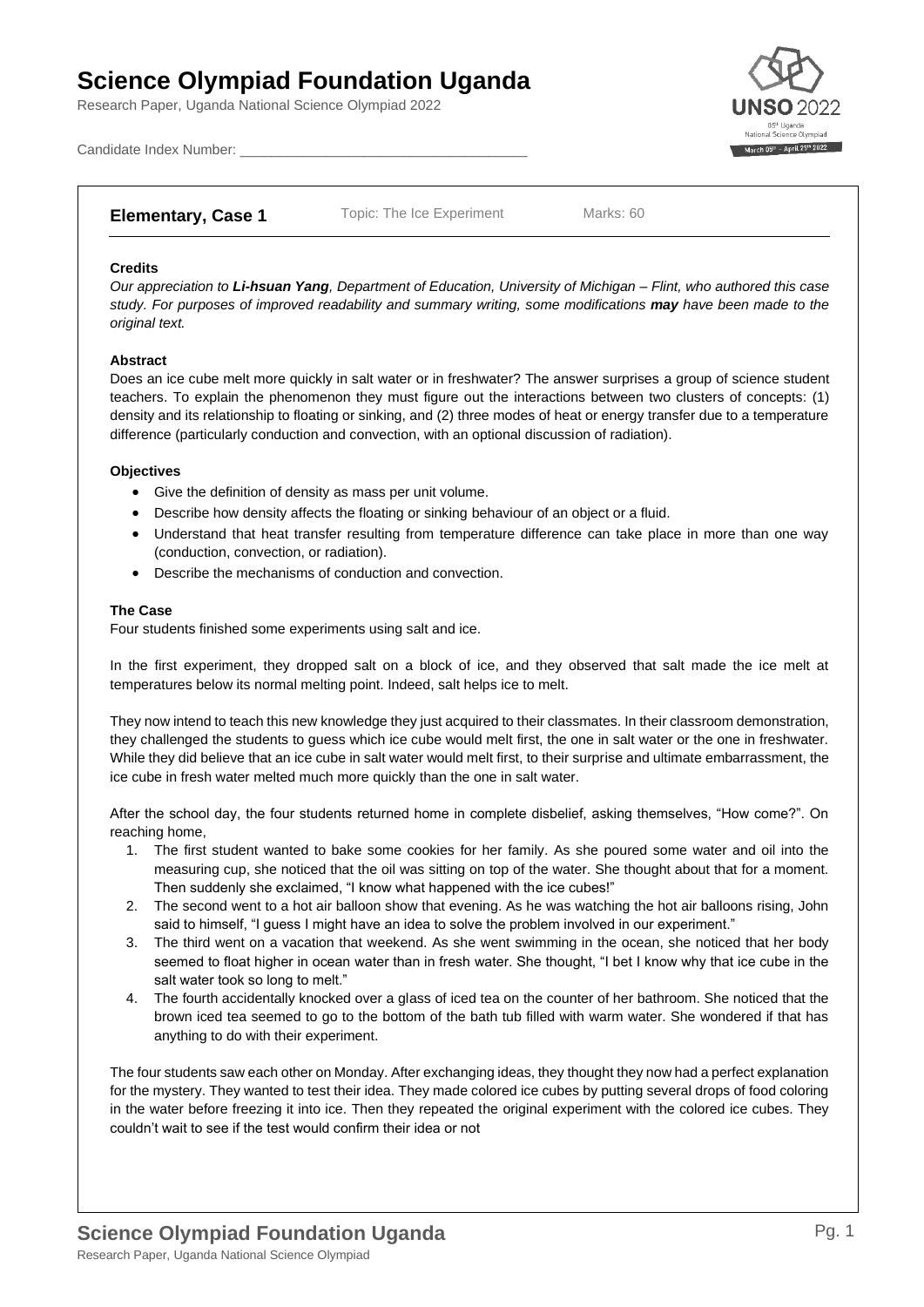# **Science Olympiad Foundation Uganda**

Research Paper, Uganda National Science Olympiad 2022



Candidate Index Number:

# **Elementary, Case 1** Topic: The Ice Experiment Marks: 60

## **Credits**

*Our appreciation to Li-hsuan Yang, Department of Education, University of Michigan – Flint, who authored this case study. For purposes of improved readability and summary writing, some modifications may have been made to the original text.*

### **Abstract**

Does an ice cube melt more quickly in salt water or in freshwater? The answer surprises a group of science student teachers. To explain the phenomenon they must figure out the interactions between two clusters of concepts: (1) density and its relationship to floating or sinking, and (2) three modes of heat or energy transfer due to a temperature difference (particularly conduction and convection, with an optional discussion of radiation).

### **Objectives**

- Give the definition of density as mass per unit volume.
- Describe how density affects the floating or sinking behaviour of an object or a fluid.
- Understand that heat transfer resulting from temperature difference can take place in more than one way (conduction, convection, or radiation).
- Describe the mechanisms of conduction and convection.

### **The Case**

Four students finished some experiments using salt and ice.

In the first experiment, they dropped salt on a block of ice, and they observed that salt made the ice melt at temperatures below its normal melting point. Indeed, salt helps ice to melt.

They now intend to teach this new knowledge they just acquired to their classmates. In their classroom demonstration, they challenged the students to guess which ice cube would melt first, the one in salt water or the one in freshwater. While they did believe that an ice cube in salt water would melt first, to their surprise and ultimate embarrassment, the ice cube in fresh water melted much more quickly than the one in salt water.

After the school day, the four students returned home in complete disbelief, asking themselves, "How come?". On reaching home,

- 1. The first student wanted to bake some cookies for her family. As she poured some water and oil into the measuring cup, she noticed that the oil was sitting on top of the water. She thought about that for a moment. Then suddenly she exclaimed, "I know what happened with the ice cubes!"
- 2. The second went to a hot air balloon show that evening. As he was watching the hot air balloons rising, John said to himself, "I guess I might have an idea to solve the problem involved in our experiment."
- 3. The third went on a vacation that weekend. As she went swimming in the ocean, she noticed that her body seemed to float higher in ocean water than in fresh water. She thought, "I bet I know why that ice cube in the salt water took so long to melt."
- 4. The fourth accidentally knocked over a glass of iced tea on the counter of her bathroom. She noticed that the brown iced tea seemed to go to the bottom of the bath tub filled with warm water. She wondered if that has anything to do with their experiment.

The four students saw each other on Monday. After exchanging ideas, they thought they now had a perfect explanation for the mystery. They wanted to test their idea. They made colored ice cubes by putting several drops of food coloring in the water before freezing it into ice. Then they repeated the original experiment with the colored ice cubes. They couldn't wait to see if the test would confirm their idea or not